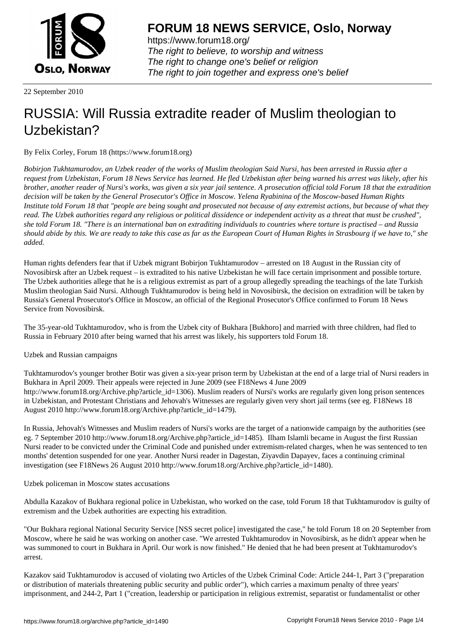

https://www.forum18.org/ The right to believe, to worship and witness The right to change one's belief or religion [The right to join together a](https://www.forum18.org/)nd express one's belief

22 September 2010

## [RUSSIA: Will R](https://www.forum18.org)ussia extradite reader of Muslim theologian to Uzbekistan?

By Felix Corley, Forum 18 (https://www.forum18.org)

*Bobirjon Tukhtamurodov, an Uzbek reader of the works of Muslim theologian Said Nursi, has been arrested in Russia after a request from Uzbekistan, Forum 18 News Service has learned. He fled Uzbekistan after being warned his arrest was likely, after his brother, another reader of Nursi's works, was given a six year jail sentence. A prosecution official told Forum 18 that the extradition decision will be taken by the General Prosecutor's Office in Moscow. Yelena Ryabinina of the Moscow-based Human Rights Institute told Forum 18 that "people are being sought and prosecuted not because of any extremist actions, but because of what they read. The Uzbek authorities regard any religious or political dissidence or independent activity as a threat that must be crushed", she told Forum 18. "There is an international ban on extraditing individuals to countries where torture is practised – and Russia should abide by this. We are ready to take this case as far as the European Court of Human Rights in Strasbourg if we have to," she added.*

Human rights defenders fear that if Uzbek migrant Bobirjon Tukhtamurodov – arrested on 18 August in the Russian city of Novosibirsk after an Uzbek request – is extradited to his native Uzbekistan he will face certain imprisonment and possible torture. The Uzbek authorities allege that he is a religious extremist as part of a group allegedly spreading the teachings of the late Turkish Muslim theologian Said Nursi. Although Tukhtamurodov is being held in Novosibirsk, the decision on extradition will be taken by Russia's General Prosecutor's Office in Moscow, an official of the Regional Prosecutor's Office confirmed to Forum 18 News Service from Novosibirsk.

The 35-year-old Tukhtamurodov, who is from the Uzbek city of Bukhara [Bukhoro] and married with three children, had fled to Russia in February 2010 after being warned that his arrest was likely, his supporters told Forum 18.

Uzbek and Russian campaigns

Tukhtamurodov's younger brother Botir was given a six-year prison term by Uzbekistan at the end of a large trial of Nursi readers in Bukhara in April 2009. Their appeals were rejected in June 2009 (see F18News 4 June 2009 http://www.forum18.org/Archive.php?article\_id=1306). Muslim readers of Nursi's works are regularly given long prison sentences in Uzbekistan, and Protestant Christians and Jehovah's Witnesses are regularly given very short jail terms (see eg. F18News 18 August 2010 http://www.forum18.org/Archive.php?article\_id=1479).

In Russia, Jehovah's Witnesses and Muslim readers of Nursi's works are the target of a nationwide campaign by the authorities (see eg. 7 September 2010 http://www.forum18.org/Archive.php?article\_id=1485). Ilham Islamli became in August the first Russian Nursi reader to be convicted under the Criminal Code and punished under extremism-related charges, when he was sentenced to ten months' detention suspended for one year. Another Nursi reader in Dagestan, Ziyavdin Dapayev, faces a continuing criminal investigation (see F18News 26 August 2010 http://www.forum18.org/Archive.php?article\_id=1480).

Uzbek policeman in Moscow states accusations

Abdulla Kazakov of Bukhara regional police in Uzbekistan, who worked on the case, told Forum 18 that Tukhtamurodov is guilty of extremism and the Uzbek authorities are expecting his extradition.

"Our Bukhara regional National Security Service [NSS secret police] investigated the case," he told Forum 18 on 20 September from Moscow, where he said he was working on another case. "We arrested Tukhtamurodov in Novosibirsk, as he didn't appear when he was summoned to court in Bukhara in April. Our work is now finished." He denied that he had been present at Tukhtamurodov's arrest.

Kazakov said Tukhtamurodov is accused of violating two Articles of the Uzbek Criminal Code: Article 244-1, Part 3 ("preparation or distribution of materials threatening public security and public order"), which carries a maximum penalty of three years' imprisonment, and 244-2, Part 1 ("creation, leadership or participation in religious extremist, separatist or fundamentalist or other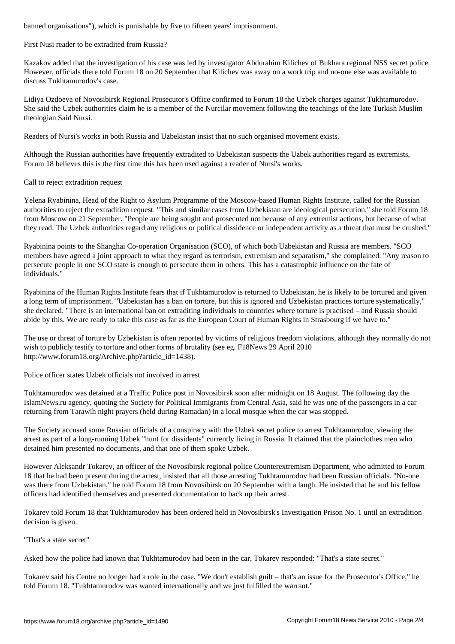First Nusi reader to be extradited from Russia?

Kazakov added that the investigation of his case was led by investigator Abdurahim Kilichev of Bukhara regional NSS secret police. However, officials there told Forum 18 on 20 September that Kilichev was away on a work trip and no-one else was available to discuss Tukhtamurodov's case.

Lidiya Ozdoeva of Novosibirsk Regional Prosecutor's Office confirmed to Forum 18 the Uzbek charges against Tukhtamurodov. She said the Uzbek authorities claim he is a member of the Nurcilar movement following the teachings of the late Turkish Muslim theologian Said Nursi.

Readers of Nursi's works in both Russia and Uzbekistan insist that no such organised movement exists.

Although the Russian authorities have frequently extradited to Uzbekistan suspects the Uzbek authorities regard as extremists, Forum 18 believes this is the first time this has been used against a reader of Nursi's works.

Call to reject extradition request

Yelena Ryabinina, Head of the Right to Asylum Programme of the Moscow-based Human Rights Institute, called for the Russian authorities to reject the extradition request. "This and similar cases from Uzbekistan are ideological persecution," she told Forum 18 from Moscow on 21 September. "People are being sought and prosecuted not because of any extremist actions, but because of what they read. The Uzbek authorities regard any religious or political dissidence or independent activity as a threat that must be crushed."

Ryabinina points to the Shanghai Co-operation Organisation (SCO), of which both Uzbekistan and Russia are members. "SCO members have agreed a joint approach to what they regard as terrorism, extremism and separatism," she complained. "Any reason to persecute people in one SCO state is enough to persecute them in others. This has a catastrophic influence on the fate of individuals."

Ryabinina of the Human Rights Institute fears that if Tukhtamurodov is returned to Uzbekistan, he is likely to be tortured and given a long term of imprisonment. "Uzbekistan has a ban on torture, but this is ignored and Uzbekistan practices torture systematically," she declared. "There is an international ban on extraditing individuals to countries where torture is practised – and Russia should abide by this. We are ready to take this case as far as the European Court of Human Rights in Strasbourg if we have to."

The use or threat of torture by Uzbekistan is often reported by victims of religious freedom violations, although they normally do not wish to publicly testify to torture and other forms of brutality (see eg. F18News 29 April 2010 http://www.forum18.org/Archive.php?article\_id=1438).

Police officer states Uzbek officials not involved in arrest

Tukhtamurodov was detained at a Traffic Police post in Novosibirsk soon after midnight on 18 August. The following day the IslamNews.ru agency, quoting the Society for Political Immigrants from Central Asia, said he was one of the passengers in a car returning from Tarawih night prayers (held during Ramadan) in a local mosque when the car was stopped.

The Society accused some Russian officials of a conspiracy with the Uzbek secret police to arrest Tukhtamurodov, viewing the arrest as part of a long-running Uzbek "hunt for dissidents" currently living in Russia. It claimed that the plainclothes men who detained him presented no documents, and that one of them spoke Uzbek.

However Aleksandr Tokarev, an officer of the Novosibirsk regional police Counterextremism Department, who admitted to Forum 18 that he had been present during the arrest, insisted that all those arresting Tukhtamurodov had been Russian officials. "No-one was there from Uzbekistan," he told Forum 18 from Novosibirsk on 20 September with a laugh. He insisted that he and his fellow officers had identified themselves and presented documentation to back up their arrest.

Tokarev told Forum 18 that Tukhtamurodov has been ordered held in Novosibirsk's Investigation Prison No. 1 until an extradition decision is given.

"That's a state secret"

Asked how the police had known that Tukhtamurodov had been in the car, Tokarev responded: "That's a state secret."

Tokarev said his Centre no longer had a role in the case. "We don't establish guilt – that's an issue for the Prosecutor's Office," he told Forum 18. "Tukhtamurodov was wanted internationally and we just fulfilled the warrant."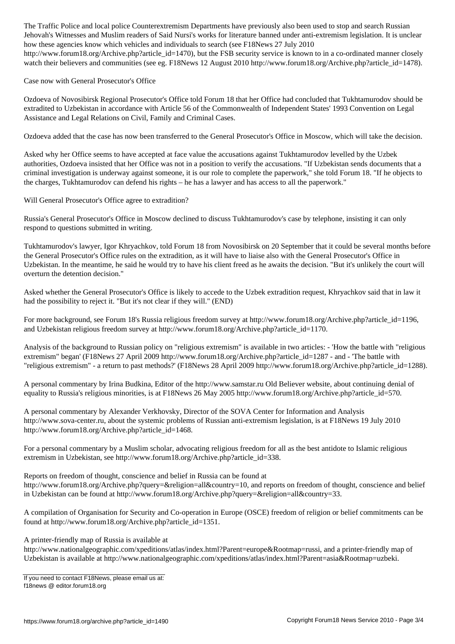$\omega$  and Muslim readers of Said Nursi's works for literature banned under anti-extremism legislation. It is uncertainty legislation. It is uncertainty legislation. It is uncertainty legislation. It is uncertainty legislat how these agencies know which vehicles and individuals to search (see F18News 27 July 2010 http://www.forum18.org/Archive.php?article\_id=1470), but the FSB security service is known to in a co-ordinated manner closely watch their believers and communities (see eg. F18News 12 August 2010 http://www.forum18.org/Archive.php?article\_id=1478).

Case now with General Prosecutor's Office

Ozdoeva of Novosibirsk Regional Prosecutor's Office told Forum 18 that her Office had concluded that Tukhtamurodov should be extradited to Uzbekistan in accordance with Article 56 of the Commonwealth of Independent States' 1993 Convention on Legal Assistance and Legal Relations on Civil, Family and Criminal Cases.

Ozdoeva added that the case has now been transferred to the General Prosecutor's Office in Moscow, which will take the decision.

Asked why her Office seems to have accepted at face value the accusations against Tukhtamurodov levelled by the Uzbek authorities, Ozdoeva insisted that her Office was not in a position to verify the accusations. "If Uzbekistan sends documents that a criminal investigation is underway against someone, it is our role to complete the paperwork," she told Forum 18. "If he objects to the charges, Tukhtamurodov can defend his rights – he has a lawyer and has access to all the paperwork."

Will General Prosecutor's Office agree to extradition?

Russia's General Prosecutor's Office in Moscow declined to discuss Tukhtamurodov's case by telephone, insisting it can only respond to questions submitted in writing.

Tukhtamurodov's lawyer, Igor Khryachkov, told Forum 18 from Novosibirsk on 20 September that it could be several months before the General Prosecutor's Office rules on the extradition, as it will have to liaise also with the General Prosecutor's Office in Uzbekistan. In the meantime, he said he would try to have his client freed as he awaits the decision. "But it's unlikely the court will overturn the detention decision."

Asked whether the General Prosecutor's Office is likely to accede to the Uzbek extradition request, Khryachkov said that in law it had the possibility to reject it. "But it's not clear if they will." (END)

For more background, see Forum 18's Russia religious freedom survey at http://www.forum18.org/Archive.php?article\_id=1196, and Uzbekistan religious freedom survey at http://www.forum18.org/Archive.php?article\_id=1170.

Analysis of the background to Russian policy on "religious extremism" is available in two articles: - 'How the battle with "religious extremism" began' (F18News 27 April 2009 http://www.forum18.org/Archive.php?article\_id=1287 - and - 'The battle with "religious extremism" - a return to past methods?' (F18News 28 April 2009 http://www.forum18.org/Archive.php?article\_id=1288).

A personal commentary by Irina Budkina, Editor of the http://www.samstar.ru Old Believer website, about continuing denial of equality to Russia's religious minorities, is at F18News 26 May 2005 http://www.forum18.org/Archive.php?article\_id=570.

A personal commentary by Alexander Verkhovsky, Director of the SOVA Center for Information and Analysis http://www.sova-center.ru, about the systemic problems of Russian anti-extremism legislation, is at F18News 19 July 2010 http://www.forum18.org/Archive.php?article\_id=1468.

For a personal commentary by a Muslim scholar, advocating religious freedom for all as the best antidote to Islamic religious extremism in Uzbekistan, see http://www.forum18.org/Archive.php?article\_id=338.

Reports on freedom of thought, conscience and belief in Russia can be found at http://www.forum18.org/Archive.php?query=&religion=all&country=10, and reports on freedom of thought, conscience and belief in Uzbekistan can be found at http://www.forum18.org/Archive.php?query=&religion=all&country=33.

A compilation of Organisation for Security and Co-operation in Europe (OSCE) freedom of religion or belief commitments can be found at http://www.forum18.org/Archive.php?article\_id=1351.

A printer-friendly map of Russia is available at

http://www.nationalgeographic.com/xpeditions/atlas/index.html?Parent=europe&Rootmap=russi, and a printer-friendly map of Uzbekistan is available at http://www.nationalgeographic.com/xpeditions/atlas/index.html?Parent=asia&Rootmap=uzbeki.

If you need to contact F18News, please email us at: f18news @ editor.forum18.org